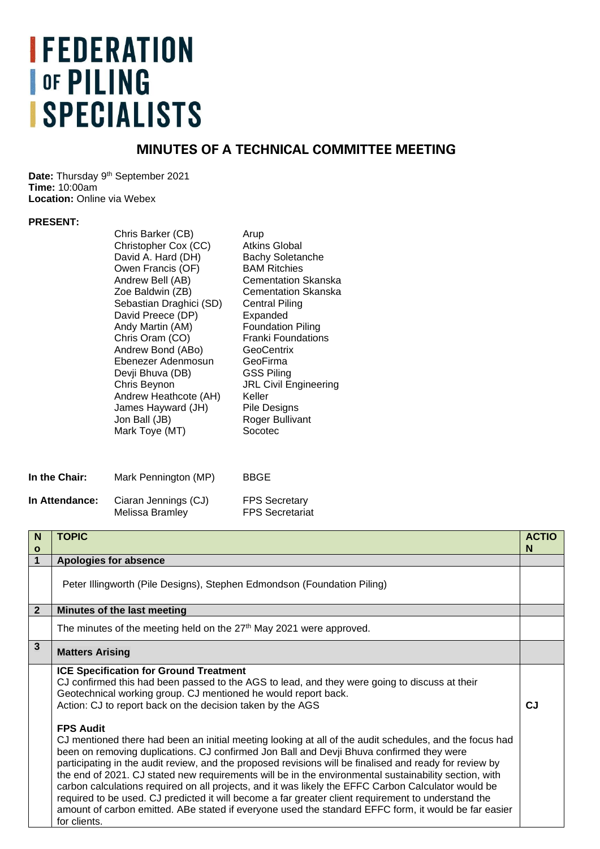## **IFEDERATION OF PILING ISPECIALISTS**

## **MINUTES OF A TECHNICAL COMMITTEE MEETING**

Date: Thursday 9<sup>th</sup> September 2021 **Time:** 10:00am **Location: Online via Webex** 

## **PRESENT:**

| Sebastian Draghici (SD)<br>Central Piling<br>David Preece (DP)<br>Expanded<br>Andy Martin (AM)<br><b>Foundation Piling</b><br>Chris Oram (CO)<br><b>Franki Foundations</b><br>Andrew Bond (ABo)<br>GeoCentrix<br>Ebenezer Adenmosun<br>GeoFirma<br><b>GSS Piling</b><br>Devji Bhuva (DB)<br>Chris Beynon<br><b>JRL Civil Engineering</b><br>Keller<br>Andrew Heathcote (AH)<br>James Hayward (JH)<br>Pile Designs<br>Jon Ball (JB)<br>Roger Bullivant<br>Socotec<br>Mark Toye (MT) | <b>Bachy Soletanche</b><br><b>Cementation Skanska</b><br><b>Cementation Skanska</b> |
|------------------------------------------------------------------------------------------------------------------------------------------------------------------------------------------------------------------------------------------------------------------------------------------------------------------------------------------------------------------------------------------------------------------------------------------------------------------------------------|-------------------------------------------------------------------------------------|
|------------------------------------------------------------------------------------------------------------------------------------------------------------------------------------------------------------------------------------------------------------------------------------------------------------------------------------------------------------------------------------------------------------------------------------------------------------------------------------|-------------------------------------------------------------------------------------|

| In the Chair:  | Mark Pennington (MP) | <b>BBGE</b>            |
|----------------|----------------------|------------------------|
| In Attendance: | Ciaran Jennings (CJ) | <b>FPS Secretary</b>   |
|                | Melissa Bramley      | <b>FPS Secretariat</b> |

| N                            | <b>TOPIC</b>                                                                                                                                                                                                                                                                                                                                                                                                                                                                                                                                                                                                                                                                                                                                                                                                                                                                                                                                                                                                                                        | <b>ACTIO</b><br>N |
|------------------------------|-----------------------------------------------------------------------------------------------------------------------------------------------------------------------------------------------------------------------------------------------------------------------------------------------------------------------------------------------------------------------------------------------------------------------------------------------------------------------------------------------------------------------------------------------------------------------------------------------------------------------------------------------------------------------------------------------------------------------------------------------------------------------------------------------------------------------------------------------------------------------------------------------------------------------------------------------------------------------------------------------------------------------------------------------------|-------------------|
| $\mathbf{o}$<br>$\mathbf{1}$ | <b>Apologies for absence</b>                                                                                                                                                                                                                                                                                                                                                                                                                                                                                                                                                                                                                                                                                                                                                                                                                                                                                                                                                                                                                        |                   |
|                              | Peter Illingworth (Pile Designs), Stephen Edmondson (Foundation Piling)                                                                                                                                                                                                                                                                                                                                                                                                                                                                                                                                                                                                                                                                                                                                                                                                                                                                                                                                                                             |                   |
| $\overline{2}$               | Minutes of the last meeting                                                                                                                                                                                                                                                                                                                                                                                                                                                                                                                                                                                                                                                                                                                                                                                                                                                                                                                                                                                                                         |                   |
|                              | The minutes of the meeting held on the 27 <sup>th</sup> May 2021 were approved.                                                                                                                                                                                                                                                                                                                                                                                                                                                                                                                                                                                                                                                                                                                                                                                                                                                                                                                                                                     |                   |
| $\overline{3}$               | <b>Matters Arising</b>                                                                                                                                                                                                                                                                                                                                                                                                                                                                                                                                                                                                                                                                                                                                                                                                                                                                                                                                                                                                                              |                   |
|                              | <b>ICE Specification for Ground Treatment</b><br>CJ confirmed this had been passed to the AGS to lead, and they were going to discuss at their<br>Geotechnical working group. CJ mentioned he would report back.<br>Action: CJ to report back on the decision taken by the AGS<br><b>FPS Audit</b><br>CJ mentioned there had been an initial meeting looking at all of the audit schedules, and the focus had<br>been on removing duplications. CJ confirmed Jon Ball and Devji Bhuva confirmed they were<br>participating in the audit review, and the proposed revisions will be finalised and ready for review by<br>the end of 2021. CJ stated new requirements will be in the environmental sustainability section, with<br>carbon calculations required on all projects, and it was likely the EFFC Carbon Calculator would be<br>required to be used. CJ predicted it will become a far greater client requirement to understand the<br>amount of carbon emitted. ABe stated if everyone used the standard EFFC form, it would be far easier | <b>CJ</b>         |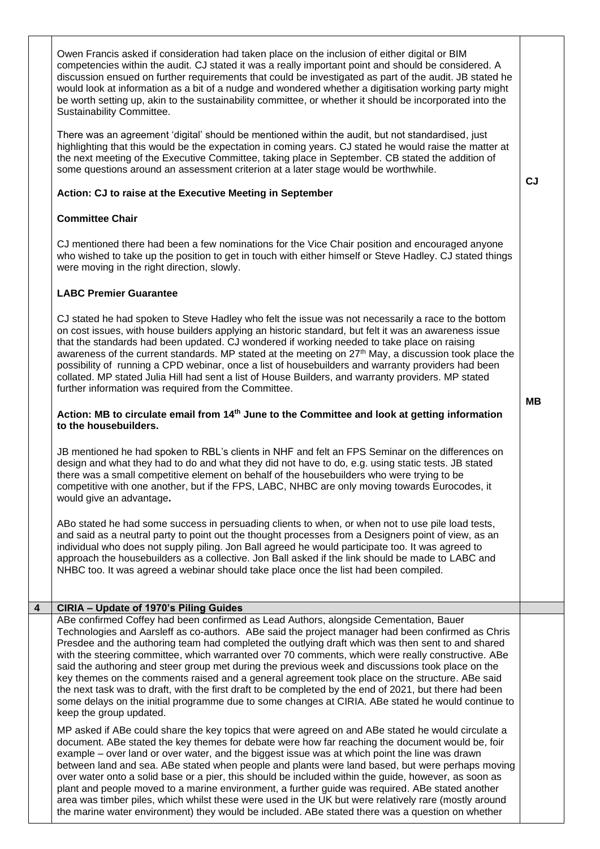|   | Owen Francis asked if consideration had taken place on the inclusion of either digital or BIM<br>competencies within the audit. CJ stated it was a really important point and should be considered. A<br>discussion ensued on further requirements that could be investigated as part of the audit. JB stated he<br>would look at information as a bit of a nudge and wondered whether a digitisation working party might<br>be worth setting up, akin to the sustainability committee, or whether it should be incorporated into the<br>Sustainability Committee.                                                                                                                                                                                                                                                                                        |           |
|---|-----------------------------------------------------------------------------------------------------------------------------------------------------------------------------------------------------------------------------------------------------------------------------------------------------------------------------------------------------------------------------------------------------------------------------------------------------------------------------------------------------------------------------------------------------------------------------------------------------------------------------------------------------------------------------------------------------------------------------------------------------------------------------------------------------------------------------------------------------------|-----------|
|   | There was an agreement 'digital' should be mentioned within the audit, but not standardised, just<br>highlighting that this would be the expectation in coming years. CJ stated he would raise the matter at<br>the next meeting of the Executive Committee, taking place in September. CB stated the addition of<br>some questions around an assessment criterion at a later stage would be worthwhile.                                                                                                                                                                                                                                                                                                                                                                                                                                                  | CJ        |
|   | Action: CJ to raise at the Executive Meeting in September                                                                                                                                                                                                                                                                                                                                                                                                                                                                                                                                                                                                                                                                                                                                                                                                 |           |
|   | <b>Committee Chair</b>                                                                                                                                                                                                                                                                                                                                                                                                                                                                                                                                                                                                                                                                                                                                                                                                                                    |           |
|   | CJ mentioned there had been a few nominations for the Vice Chair position and encouraged anyone<br>who wished to take up the position to get in touch with either himself or Steve Hadley. CJ stated things<br>were moving in the right direction, slowly.                                                                                                                                                                                                                                                                                                                                                                                                                                                                                                                                                                                                |           |
|   | <b>LABC Premier Guarantee</b>                                                                                                                                                                                                                                                                                                                                                                                                                                                                                                                                                                                                                                                                                                                                                                                                                             |           |
|   | CJ stated he had spoken to Steve Hadley who felt the issue was not necessarily a race to the bottom<br>on cost issues, with house builders applying an historic standard, but felt it was an awareness issue<br>that the standards had been updated. CJ wondered if working needed to take place on raising<br>awareness of the current standards. MP stated at the meeting on 27 <sup>th</sup> May, a discussion took place the<br>possibility of running a CPD webinar, once a list of housebuilders and warranty providers had been<br>collated. MP stated Julia Hill had sent a list of House Builders, and warranty providers. MP stated<br>further information was required from the Committee.                                                                                                                                                     |           |
|   | Action: MB to circulate email from 14 <sup>th</sup> June to the Committee and look at getting information<br>to the housebuilders.                                                                                                                                                                                                                                                                                                                                                                                                                                                                                                                                                                                                                                                                                                                        | <b>MB</b> |
|   | JB mentioned he had spoken to RBL's clients in NHF and felt an FPS Seminar on the differences on<br>design and what they had to do and what they did not have to do, e.g. using static tests. JB stated<br>there was a small competitive element on behalf of the housebuilders who were trying to be<br>competitive with one another, but if the FPS, LABC, NHBC are only moving towards Eurocodes, it<br>would give an advantage.                                                                                                                                                                                                                                                                                                                                                                                                                       |           |
|   | ABo stated he had some success in persuading clients to when, or when not to use pile load tests,<br>and said as a neutral party to point out the thought processes from a Designers point of view, as an<br>individual who does not supply piling. Jon Ball agreed he would participate too. It was agreed to<br>approach the housebuilders as a collective. Jon Ball asked if the link should be made to LABC and<br>NHBC too. It was agreed a webinar should take place once the list had been compiled.                                                                                                                                                                                                                                                                                                                                               |           |
| 4 | CIRIA - Update of 1970's Piling Guides                                                                                                                                                                                                                                                                                                                                                                                                                                                                                                                                                                                                                                                                                                                                                                                                                    |           |
|   | ABe confirmed Coffey had been confirmed as Lead Authors, alongside Cementation, Bauer<br>Technologies and Aarsleff as co-authors. ABe said the project manager had been confirmed as Chris<br>Presdee and the authoring team had completed the outlying draft which was then sent to and shared<br>with the steering committee, which warranted over 70 comments, which were really constructive. ABe<br>said the authoring and steer group met during the previous week and discussions took place on the<br>key themes on the comments raised and a general agreement took place on the structure. ABe said<br>the next task was to draft, with the first draft to be completed by the end of 2021, but there had been<br>some delays on the initial programme due to some changes at CIRIA. ABe stated he would continue to<br>keep the group updated. |           |
|   | MP asked if ABe could share the key topics that were agreed on and ABe stated he would circulate a<br>document. ABe stated the key themes for debate were how far reaching the document would be, foir<br>example – over land or over water, and the biggest issue was at which point the line was drawn<br>between land and sea. ABe stated when people and plants were land based, but were perhaps moving<br>over water onto a solid base or a pier, this should be included within the guide, however, as soon as<br>plant and people moved to a marine environment, a further guide was required. ABe stated another<br>area was timber piles, which whilst these were used in the UK but were relatively rare (mostly around<br>the marine water environment) they would be included. ABe stated there was a question on whether                    |           |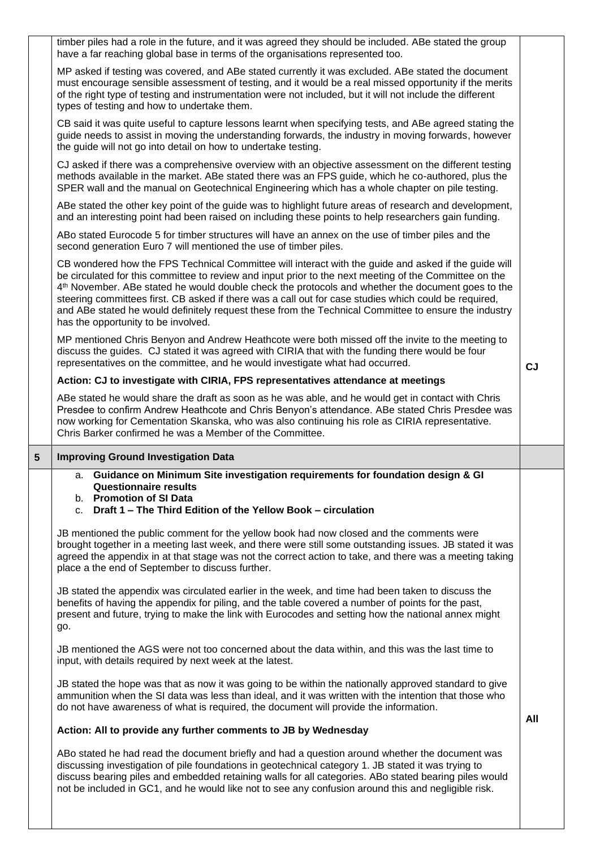|   | timber piles had a role in the future, and it was agreed they should be included. ABe stated the group<br>have a far reaching global base in terms of the organisations represented too.                                                                                                                                                                                                                                                                                                                                                                                                |           |
|---|-----------------------------------------------------------------------------------------------------------------------------------------------------------------------------------------------------------------------------------------------------------------------------------------------------------------------------------------------------------------------------------------------------------------------------------------------------------------------------------------------------------------------------------------------------------------------------------------|-----------|
|   | MP asked if testing was covered, and ABe stated currently it was excluded. ABe stated the document<br>must encourage sensible assessment of testing, and it would be a real missed opportunity if the merits<br>of the right type of testing and instrumentation were not included, but it will not include the different<br>types of testing and how to undertake them.                                                                                                                                                                                                                |           |
|   | CB said it was quite useful to capture lessons learnt when specifying tests, and ABe agreed stating the<br>guide needs to assist in moving the understanding forwards, the industry in moving forwards, however<br>the guide will not go into detail on how to undertake testing.                                                                                                                                                                                                                                                                                                       |           |
|   | CJ asked if there was a comprehensive overview with an objective assessment on the different testing<br>methods available in the market. ABe stated there was an FPS guide, which he co-authored, plus the<br>SPER wall and the manual on Geotechnical Engineering which has a whole chapter on pile testing.                                                                                                                                                                                                                                                                           |           |
|   | ABe stated the other key point of the guide was to highlight future areas of research and development,<br>and an interesting point had been raised on including these points to help researchers gain funding.                                                                                                                                                                                                                                                                                                                                                                          |           |
|   | ABo stated Eurocode 5 for timber structures will have an annex on the use of timber piles and the<br>second generation Euro 7 will mentioned the use of timber piles.                                                                                                                                                                                                                                                                                                                                                                                                                   |           |
|   | CB wondered how the FPS Technical Committee will interact with the guide and asked if the guide will<br>be circulated for this committee to review and input prior to the next meeting of the Committee on the<br>4 <sup>th</sup> November. ABe stated he would double check the protocols and whether the document goes to the<br>steering committees first. CB asked if there was a call out for case studies which could be required,<br>and ABe stated he would definitely request these from the Technical Committee to ensure the industry<br>has the opportunity to be involved. |           |
|   | MP mentioned Chris Benyon and Andrew Heathcote were both missed off the invite to the meeting to<br>discuss the guides. CJ stated it was agreed with CIRIA that with the funding there would be four<br>representatives on the committee, and he would investigate what had occurred.                                                                                                                                                                                                                                                                                                   | <b>CJ</b> |
|   | Action: CJ to investigate with CIRIA, FPS representatives attendance at meetings                                                                                                                                                                                                                                                                                                                                                                                                                                                                                                        |           |
|   | ABe stated he would share the draft as soon as he was able, and he would get in contact with Chris<br>Presdee to confirm Andrew Heathcote and Chris Benyon's attendance. ABe stated Chris Presdee was<br>now working for Cementation Skanska, who was also continuing his role as CIRIA representative.<br>Chris Barker confirmed he was a Member of the Committee.                                                                                                                                                                                                                     |           |
|   |                                                                                                                                                                                                                                                                                                                                                                                                                                                                                                                                                                                         |           |
| 5 | <b>Improving Ground Investigation Data</b>                                                                                                                                                                                                                                                                                                                                                                                                                                                                                                                                              |           |
|   | a. Guidance on Minimum Site investigation requirements for foundation design & GI<br>Questionnaire results<br>b. Promotion of SI Data                                                                                                                                                                                                                                                                                                                                                                                                                                                   |           |
|   | c. Draft 1 - The Third Edition of the Yellow Book - circulation<br>JB mentioned the public comment for the yellow book had now closed and the comments were<br>brought together in a meeting last week, and there were still some outstanding issues. JB stated it was<br>agreed the appendix in at that stage was not the correct action to take, and there was a meeting taking<br>place a the end of September to discuss further.                                                                                                                                                   |           |
|   | JB stated the appendix was circulated earlier in the week, and time had been taken to discuss the<br>benefits of having the appendix for piling, and the table covered a number of points for the past,<br>present and future, trying to make the link with Eurocodes and setting how the national annex might<br>go.                                                                                                                                                                                                                                                                   |           |
|   | JB mentioned the AGS were not too concerned about the data within, and this was the last time to<br>input, with details required by next week at the latest.                                                                                                                                                                                                                                                                                                                                                                                                                            |           |
|   | JB stated the hope was that as now it was going to be within the nationally approved standard to give<br>ammunition when the SI data was less than ideal, and it was written with the intention that those who<br>do not have awareness of what is required, the document will provide the information.                                                                                                                                                                                                                                                                                 |           |
|   | Action: All to provide any further comments to JB by Wednesday                                                                                                                                                                                                                                                                                                                                                                                                                                                                                                                          | All       |
|   | ABo stated he had read the document briefly and had a question around whether the document was<br>discussing investigation of pile foundations in geotechnical category 1. JB stated it was trying to<br>discuss bearing piles and embedded retaining walls for all categories. ABo stated bearing piles would<br>not be included in GC1, and he would like not to see any confusion around this and negligible risk.                                                                                                                                                                   |           |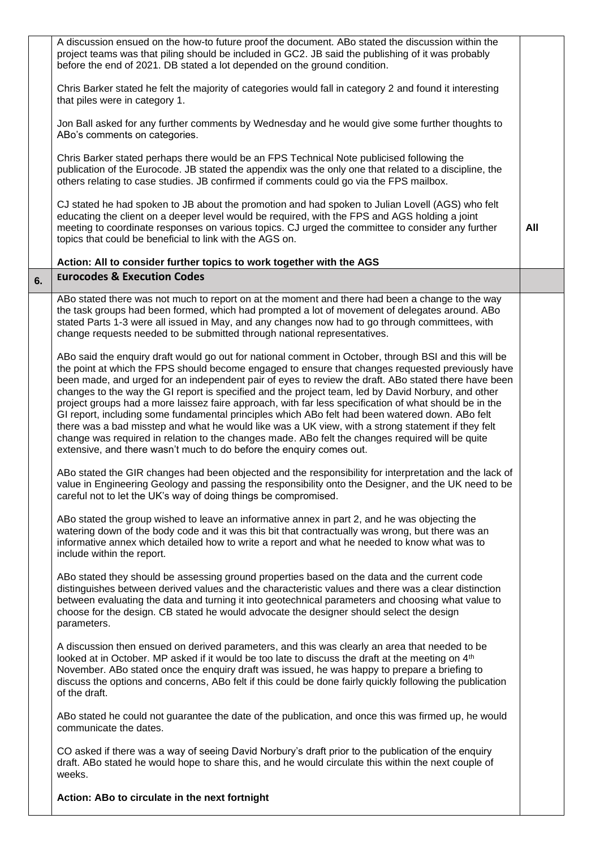|    | A discussion ensued on the how-to future proof the document. ABo stated the discussion within the<br>project teams was that piling should be included in GC2. JB said the publishing of it was probably<br>before the end of 2021. DB stated a lot depended on the ground condition.                                                                                                                                                                                                                                                                                                                                                                                                                                                                                                                                                                                                                                     |     |
|----|--------------------------------------------------------------------------------------------------------------------------------------------------------------------------------------------------------------------------------------------------------------------------------------------------------------------------------------------------------------------------------------------------------------------------------------------------------------------------------------------------------------------------------------------------------------------------------------------------------------------------------------------------------------------------------------------------------------------------------------------------------------------------------------------------------------------------------------------------------------------------------------------------------------------------|-----|
|    | Chris Barker stated he felt the majority of categories would fall in category 2 and found it interesting<br>that piles were in category 1.                                                                                                                                                                                                                                                                                                                                                                                                                                                                                                                                                                                                                                                                                                                                                                               |     |
|    | Jon Ball asked for any further comments by Wednesday and he would give some further thoughts to<br>ABo's comments on categories.                                                                                                                                                                                                                                                                                                                                                                                                                                                                                                                                                                                                                                                                                                                                                                                         |     |
|    | Chris Barker stated perhaps there would be an FPS Technical Note publicised following the<br>publication of the Eurocode. JB stated the appendix was the only one that related to a discipline, the<br>others relating to case studies. JB confirmed if comments could go via the FPS mailbox.                                                                                                                                                                                                                                                                                                                                                                                                                                                                                                                                                                                                                           |     |
|    | CJ stated he had spoken to JB about the promotion and had spoken to Julian Lovell (AGS) who felt<br>educating the client on a deeper level would be required, with the FPS and AGS holding a joint<br>meeting to coordinate responses on various topics. CJ urged the committee to consider any further<br>topics that could be beneficial to link with the AGS on.                                                                                                                                                                                                                                                                                                                                                                                                                                                                                                                                                      | All |
|    | Action: All to consider further topics to work together with the AGS                                                                                                                                                                                                                                                                                                                                                                                                                                                                                                                                                                                                                                                                                                                                                                                                                                                     |     |
| 6. | <b>Eurocodes &amp; Execution Codes</b>                                                                                                                                                                                                                                                                                                                                                                                                                                                                                                                                                                                                                                                                                                                                                                                                                                                                                   |     |
|    | ABo stated there was not much to report on at the moment and there had been a change to the way<br>the task groups had been formed, which had prompted a lot of movement of delegates around. ABo<br>stated Parts 1-3 were all issued in May, and any changes now had to go through committees, with<br>change requests needed to be submitted through national representatives.                                                                                                                                                                                                                                                                                                                                                                                                                                                                                                                                         |     |
|    | ABo said the enquiry draft would go out for national comment in October, through BSI and this will be<br>the point at which the FPS should become engaged to ensure that changes requested previously have<br>been made, and urged for an independent pair of eyes to review the draft. ABo stated there have been<br>changes to the way the GI report is specified and the project team, led by David Norbury, and other<br>project groups had a more laissez faire approach, with far less specification of what should be in the<br>GI report, including some fundamental principles which ABo felt had been watered down. ABo felt<br>there was a bad misstep and what he would like was a UK view, with a strong statement if they felt<br>change was required in relation to the changes made. ABo felt the changes required will be quite<br>extensive, and there wasn't much to do before the enquiry comes out. |     |
|    | ABo stated the GIR changes had been objected and the responsibility for interpretation and the lack of<br>value in Engineering Geology and passing the responsibility onto the Designer, and the UK need to be<br>careful not to let the UK's way of doing things be compromised.                                                                                                                                                                                                                                                                                                                                                                                                                                                                                                                                                                                                                                        |     |
|    | ABo stated the group wished to leave an informative annex in part 2, and he was objecting the<br>watering down of the body code and it was this bit that contractually was wrong, but there was an<br>informative annex which detailed how to write a report and what he needed to know what was to<br>include within the report.                                                                                                                                                                                                                                                                                                                                                                                                                                                                                                                                                                                        |     |
|    | ABo stated they should be assessing ground properties based on the data and the current code<br>distinguishes between derived values and the characteristic values and there was a clear distinction<br>between evaluating the data and turning it into geotechnical parameters and choosing what value to<br>choose for the design. CB stated he would advocate the designer should select the design<br>parameters.                                                                                                                                                                                                                                                                                                                                                                                                                                                                                                    |     |
|    | A discussion then ensued on derived parameters, and this was clearly an area that needed to be<br>looked at in October. MP asked if it would be too late to discuss the draft at the meeting on 4 <sup>th</sup><br>November. ABo stated once the enquiry draft was issued, he was happy to prepare a briefing to<br>discuss the options and concerns, ABo felt if this could be done fairly quickly following the publication<br>of the draft.                                                                                                                                                                                                                                                                                                                                                                                                                                                                           |     |
|    | ABo stated he could not guarantee the date of the publication, and once this was firmed up, he would<br>communicate the dates.                                                                                                                                                                                                                                                                                                                                                                                                                                                                                                                                                                                                                                                                                                                                                                                           |     |
|    | CO asked if there was a way of seeing David Norbury's draft prior to the publication of the enquiry<br>draft. ABo stated he would hope to share this, and he would circulate this within the next couple of<br>weeks.                                                                                                                                                                                                                                                                                                                                                                                                                                                                                                                                                                                                                                                                                                    |     |
|    | Action: ABo to circulate in the next fortnight                                                                                                                                                                                                                                                                                                                                                                                                                                                                                                                                                                                                                                                                                                                                                                                                                                                                           |     |